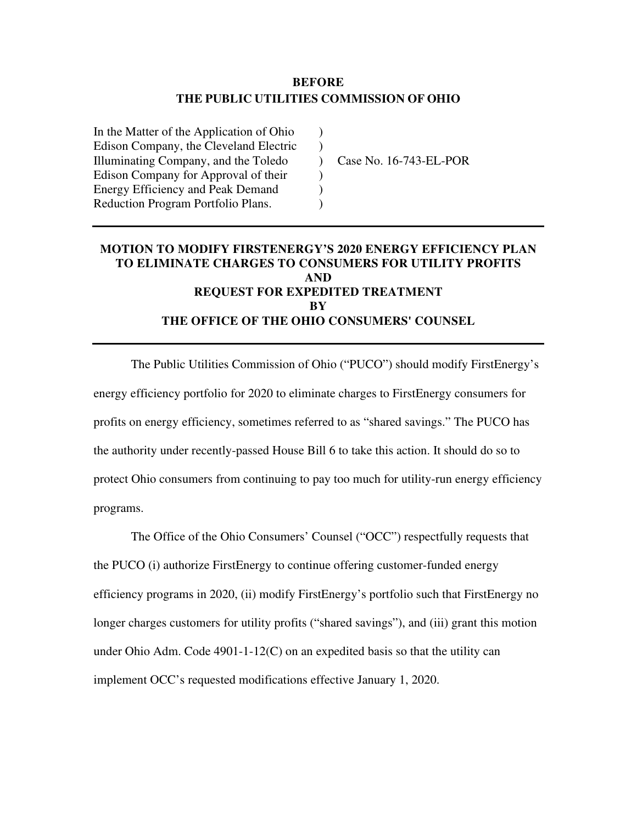## **BEFORE THE PUBLIC UTILITIES COMMISSION OF OHIO**

 $\lambda$  $\mathcal{L}$  $\mathcal{L}$  $\mathcal{L}$  $\mathcal{L}$  $\lambda$ 

In the Matter of the Application of Ohio Edison Company, the Cleveland Electric Illuminating Company, and the Toledo Edison Company for Approval of their Energy Efficiency and Peak Demand Reduction Program Portfolio Plans.

Case No. 16-743-EL-POR

# **MOTION TO MODIFY FIRSTENERGY'S 2020 ENERGY EFFICIENCY PLAN TO ELIMINATE CHARGES TO CONSUMERS FOR UTILITY PROFITS AND REQUEST FOR EXPEDITED TREATMENT BY THE OFFICE OF THE OHIO CONSUMERS' COUNSEL**

The Public Utilities Commission of Ohio ("PUCO") should modify FirstEnergy's energy efficiency portfolio for 2020 to eliminate charges to FirstEnergy consumers for profits on energy efficiency, sometimes referred to as "shared savings." The PUCO has the authority under recently-passed House Bill 6 to take this action. It should do so to protect Ohio consumers from continuing to pay too much for utility-run energy efficiency programs.

The Office of the Ohio Consumers' Counsel ("OCC") respectfully requests that the PUCO (i) authorize FirstEnergy to continue offering customer-funded energy efficiency programs in 2020, (ii) modify FirstEnergy's portfolio such that FirstEnergy no longer charges customers for utility profits ("shared savings"), and (iii) grant this motion under Ohio Adm. Code 4901-1-12(C) on an expedited basis so that the utility can implement OCC's requested modifications effective January 1, 2020.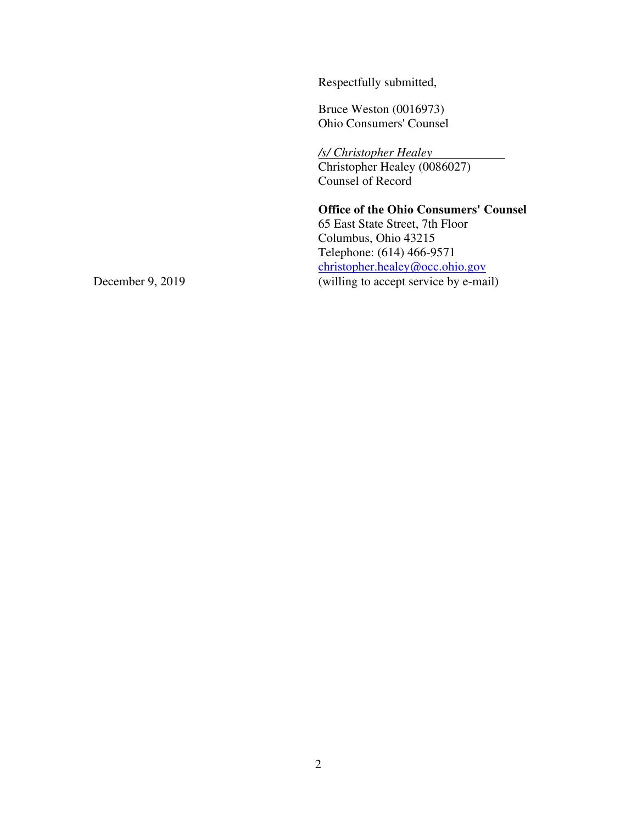Respectfully submitted,

Bruce Weston (0016973) Ohio Consumers' Counsel

*/s/ Christopher Healey*  Christopher Healey (0086027) Counsel of Record

**Office of the Ohio Consumers' Counsel**  65 East State Street, 7th Floor Columbus, Ohio 43215 Telephone: (614) 466-9571 christopher.healey@occ.ohio.gov December 9, 2019 (willing to accept service by e-mail)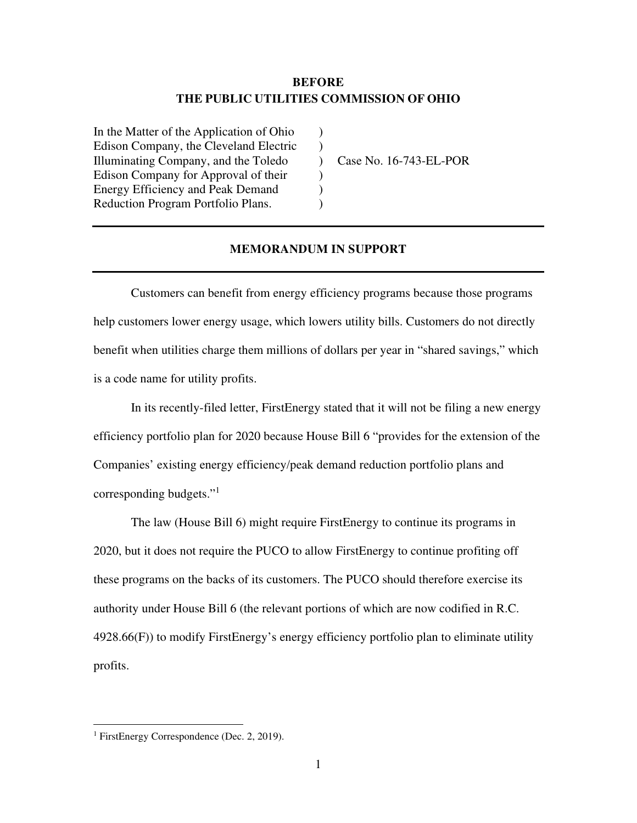## **BEFORE THE PUBLIC UTILITIES COMMISSION OF OHIO**

) )  $\lambda$ ) )  $\lambda$ 

In the Matter of the Application of Ohio Edison Company, the Cleveland Electric Illuminating Company, and the Toledo Edison Company for Approval of their Energy Efficiency and Peak Demand Reduction Program Portfolio Plans.

Case No. 16-743-EL-POR

#### **MEMORANDUM IN SUPPORT**

Customers can benefit from energy efficiency programs because those programs help customers lower energy usage, which lowers utility bills. Customers do not directly benefit when utilities charge them millions of dollars per year in "shared savings," which is a code name for utility profits.

In its recently-filed letter, FirstEnergy stated that it will not be filing a new energy efficiency portfolio plan for 2020 because House Bill 6 "provides for the extension of the Companies' existing energy efficiency/peak demand reduction portfolio plans and corresponding budgets."<sup>1</sup>

The law (House Bill 6) might require FirstEnergy to continue its programs in 2020, but it does not require the PUCO to allow FirstEnergy to continue profiting off these programs on the backs of its customers. The PUCO should therefore exercise its authority under House Bill 6 (the relevant portions of which are now codified in R.C. 4928.66(F)) to modify FirstEnergy's energy efficiency portfolio plan to eliminate utility profits.

<sup>1</sup> FirstEnergy Correspondence (Dec. 2, 2019).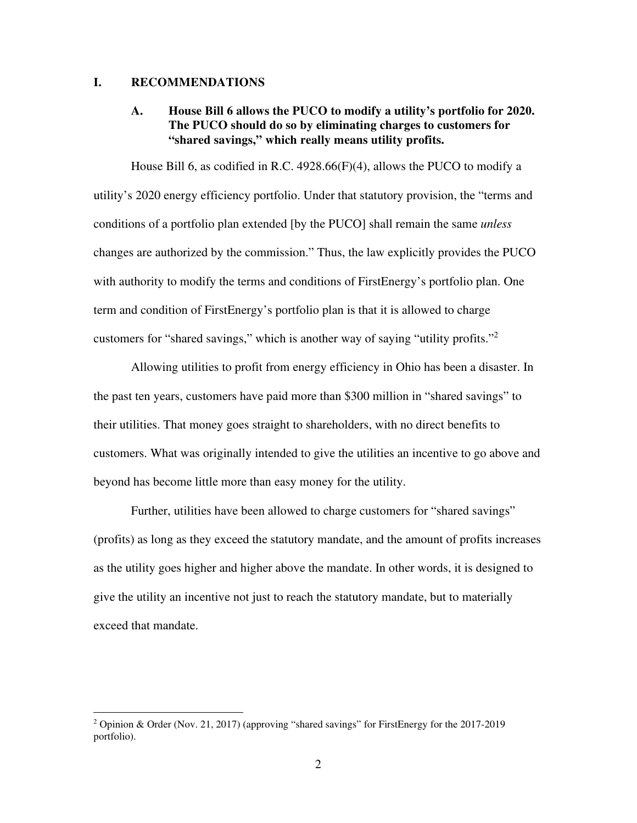#### **I. RECOMMENDATIONS**

#### **A. House Bill 6 allows the PUCO to modify a utility's portfolio for 2020. The PUCO should do so by eliminating charges to customers for "shared savings," which really means utility profits.**

House Bill 6, as codified in R.C. 4928.66(F)(4), allows the PUCO to modify a utility's 2020 energy efficiency portfolio. Under that statutory provision, the "terms and conditions of a portfolio plan extended [by the PUCO] shall remain the same *unless* changes are authorized by the commission." Thus, the law explicitly provides the PUCO with authority to modify the terms and conditions of FirstEnergy's portfolio plan. One term and condition of FirstEnergy's portfolio plan is that it is allowed to charge customers for "shared savings," which is another way of saying "utility profits."<sup>2</sup>

Allowing utilities to profit from energy efficiency in Ohio has been a disaster. In the past ten years, customers have paid more than \$300 million in "shared savings" to their utilities. That money goes straight to shareholders, with no direct benefits to customers. What was originally intended to give the utilities an incentive to go above and beyond has become little more than easy money for the utility.

Further, utilities have been allowed to charge customers for "shared savings" (profits) as long as they exceed the statutory mandate, and the amount of profits increases as the utility goes higher and higher above the mandate. In other words, it is designed to give the utility an incentive not just to reach the statutory mandate, but to materially exceed that mandate.

<sup>&</sup>lt;sup>2</sup> Opinion & Order (Nov. 21, 2017) (approving "shared savings" for FirstEnergy for the 2017-2019 portfolio).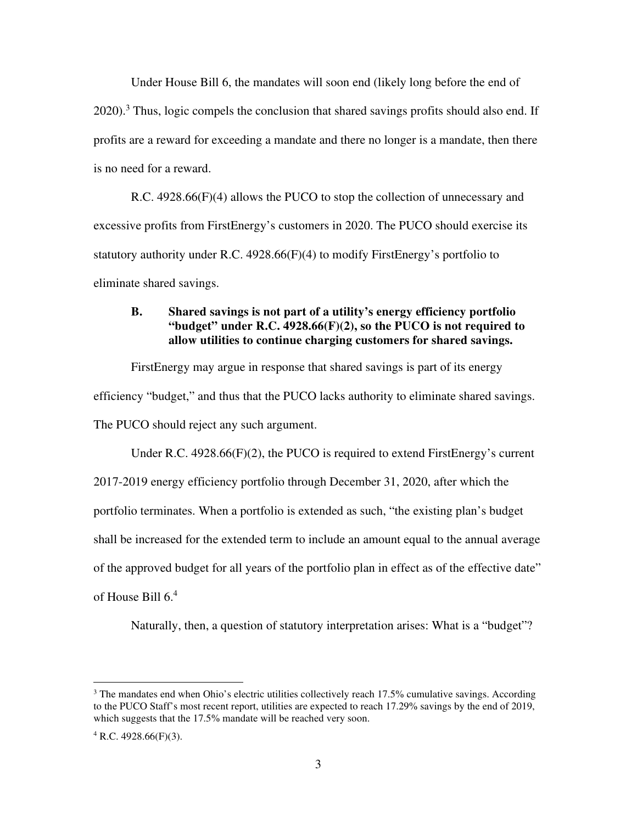Under House Bill 6, the mandates will soon end (likely long before the end of 2020).<sup>3</sup> Thus, logic compels the conclusion that shared savings profits should also end. If profits are a reward for exceeding a mandate and there no longer is a mandate, then there is no need for a reward.

R.C. 4928.66(F)(4) allows the PUCO to stop the collection of unnecessary and excessive profits from FirstEnergy's customers in 2020. The PUCO should exercise its statutory authority under R.C. 4928.66(F)(4) to modify FirstEnergy's portfolio to eliminate shared savings.

### **B. Shared savings is not part of a utility's energy efficiency portfolio "budget" under R.C. 4928.66(F)(2), so the PUCO is not required to allow utilities to continue charging customers for shared savings.**

FirstEnergy may argue in response that shared savings is part of its energy efficiency "budget," and thus that the PUCO lacks authority to eliminate shared savings. The PUCO should reject any such argument.

Under R.C. 4928.66(F)(2), the PUCO is required to extend FirstEnergy's current 2017-2019 energy efficiency portfolio through December 31, 2020, after which the portfolio terminates. When a portfolio is extended as such, "the existing plan's budget shall be increased for the extended term to include an amount equal to the annual average of the approved budget for all years of the portfolio plan in effect as of the effective date" of House Bill 6.<sup>4</sup>

Naturally, then, a question of statutory interpretation arises: What is a "budget"?

 $3$  The mandates end when Ohio's electric utilities collectively reach 17.5% cumulative savings. According to the PUCO Staff's most recent report, utilities are expected to reach 17.29% savings by the end of 2019, which suggests that the 17.5% mandate will be reached very soon.

 $4$  R.C. 4928.66(F)(3).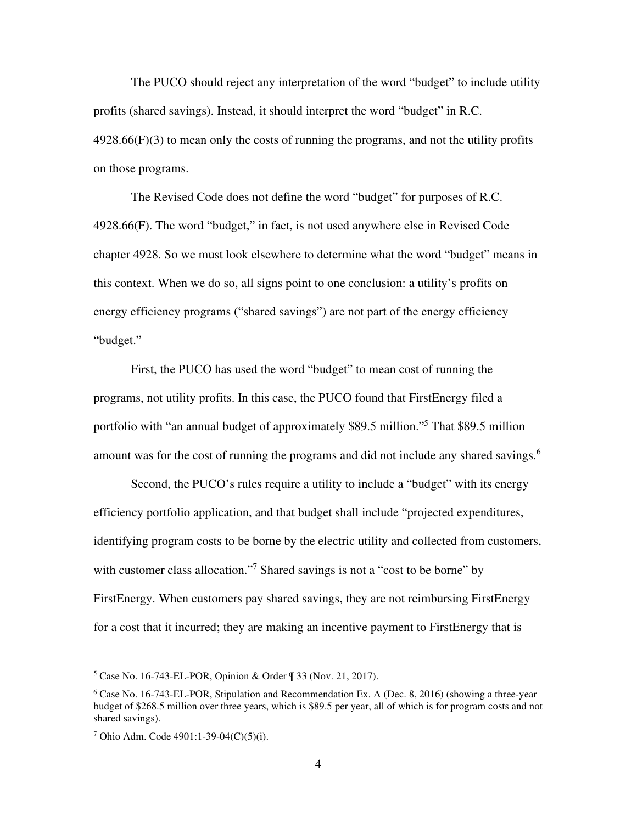The PUCO should reject any interpretation of the word "budget" to include utility profits (shared savings). Instead, it should interpret the word "budget" in R.C.  $4928.66(F)(3)$  to mean only the costs of running the programs, and not the utility profits on those programs.

The Revised Code does not define the word "budget" for purposes of R.C. 4928.66(F). The word "budget," in fact, is not used anywhere else in Revised Code chapter 4928. So we must look elsewhere to determine what the word "budget" means in this context. When we do so, all signs point to one conclusion: a utility's profits on energy efficiency programs ("shared savings") are not part of the energy efficiency "budget."

First, the PUCO has used the word "budget" to mean cost of running the programs, not utility profits. In this case, the PUCO found that FirstEnergy filed a portfolio with "an annual budget of approximately \$89.5 million."<sup>5</sup> That \$89.5 million amount was for the cost of running the programs and did not include any shared savings.<sup>6</sup>

Second, the PUCO's rules require a utility to include a "budget" with its energy efficiency portfolio application, and that budget shall include "projected expenditures, identifying program costs to be borne by the electric utility and collected from customers, with customer class allocation."<sup>7</sup> Shared savings is not a "cost to be borne" by FirstEnergy. When customers pay shared savings, they are not reimbursing FirstEnergy for a cost that it incurred; they are making an incentive payment to FirstEnergy that is

<sup>5</sup> Case No. 16-743-EL-POR, Opinion & Order ¶ 33 (Nov. 21, 2017).

<sup>6</sup> Case No. 16-743-EL-POR, Stipulation and Recommendation Ex. A (Dec. 8, 2016) (showing a three-year budget of \$268.5 million over three years, which is \$89.5 per year, all of which is for program costs and not shared savings).

<sup>7</sup> Ohio Adm. Code 4901:1-39-04(C)(5)(i).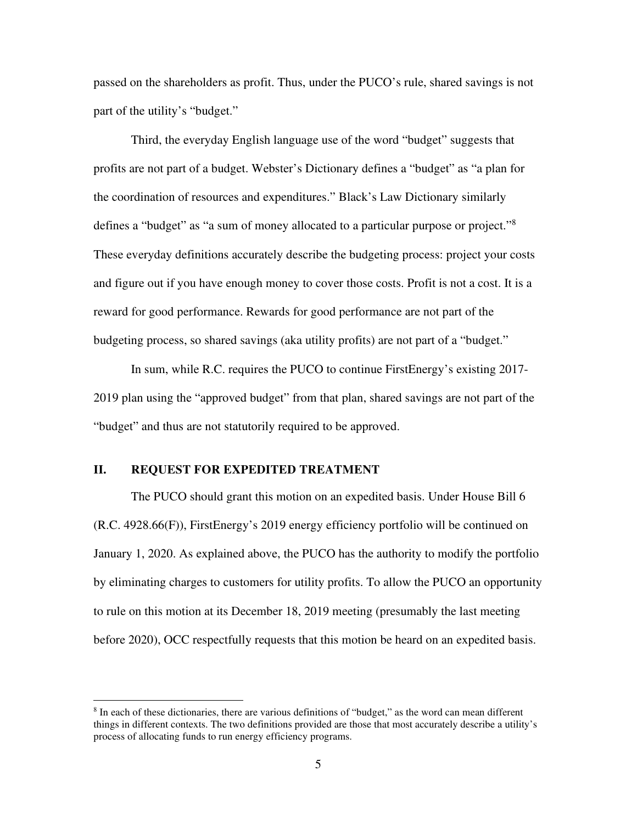passed on the shareholders as profit. Thus, under the PUCO's rule, shared savings is not part of the utility's "budget."

Third, the everyday English language use of the word "budget" suggests that profits are not part of a budget. Webster's Dictionary defines a "budget" as "a plan for the coordination of resources and expenditures." Black's Law Dictionary similarly defines a "budget" as "a sum of money allocated to a particular purpose or project."<sup>8</sup> These everyday definitions accurately describe the budgeting process: project your costs and figure out if you have enough money to cover those costs. Profit is not a cost. It is a reward for good performance. Rewards for good performance are not part of the budgeting process, so shared savings (aka utility profits) are not part of a "budget."

In sum, while R.C. requires the PUCO to continue FirstEnergy's existing 2017- 2019 plan using the "approved budget" from that plan, shared savings are not part of the "budget" and thus are not statutorily required to be approved.

#### **II. REQUEST FOR EXPEDITED TREATMENT**

The PUCO should grant this motion on an expedited basis. Under House Bill 6 (R.C. 4928.66(F)), FirstEnergy's 2019 energy efficiency portfolio will be continued on January 1, 2020. As explained above, the PUCO has the authority to modify the portfolio by eliminating charges to customers for utility profits. To allow the PUCO an opportunity to rule on this motion at its December 18, 2019 meeting (presumably the last meeting before 2020), OCC respectfully requests that this motion be heard on an expedited basis.

<sup>&</sup>lt;sup>8</sup> In each of these dictionaries, there are various definitions of "budget," as the word can mean different things in different contexts. The two definitions provided are those that most accurately describe a utility's process of allocating funds to run energy efficiency programs.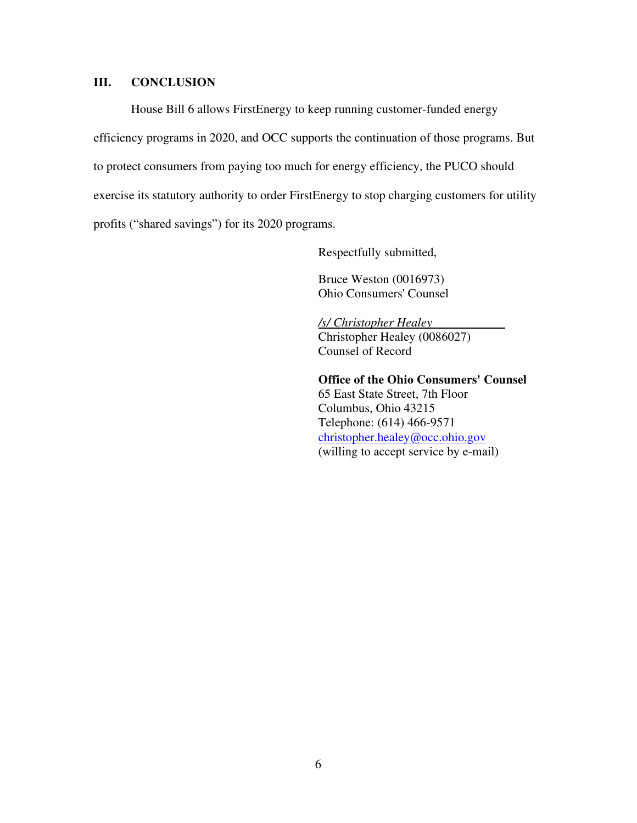#### **III. CONCLUSION**

House Bill 6 allows FirstEnergy to keep running customer-funded energy efficiency programs in 2020, and OCC supports the continuation of those programs. But to protect consumers from paying too much for energy efficiency, the PUCO should exercise its statutory authority to order FirstEnergy to stop charging customers for utility profits ("shared savings") for its 2020 programs.

Respectfully submitted,

Bruce Weston (0016973) Ohio Consumers' Counsel

*/s/ Christopher Healey*  Christopher Healey (0086027) Counsel of Record

**Office of the Ohio Consumers' Counsel**  65 East State Street, 7th Floor Columbus, Ohio 43215 Telephone: (614) 466-9571 christopher.healey@occ.ohio.gov (willing to accept service by e-mail)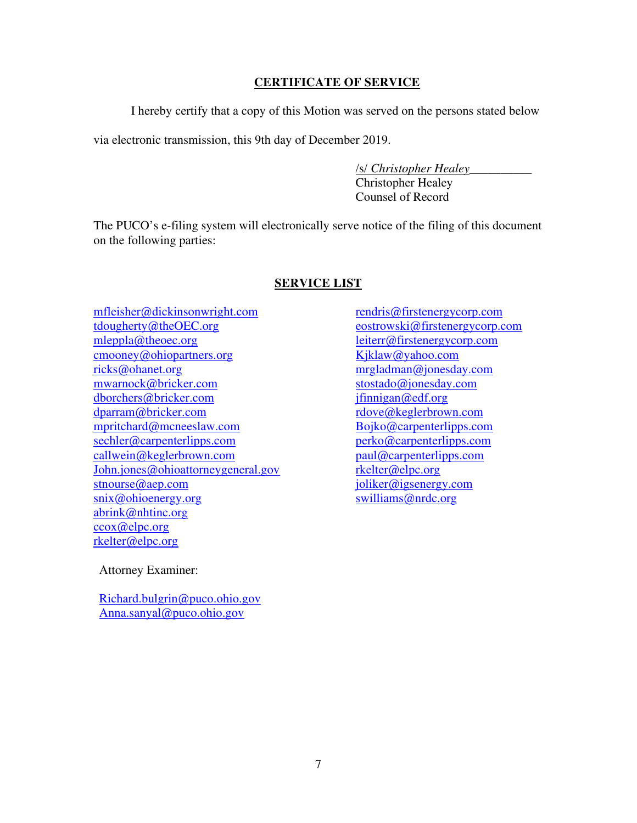## **CERTIFICATE OF SERVICE**

I hereby certify that a copy of this Motion was served on the persons stated below

via electronic transmission, this 9th day of December 2019.

/s/ *Christopher Healey*\_\_\_\_\_\_\_\_\_\_

 Christopher Healey Counsel of Record

The PUCO's e-filing system will electronically serve notice of the filing of this document on the following parties:

## **SERVICE LIST**

mfleisher@dickinsonwright.com tdougherty@theOEC.org mleppla@theoec.org cmooney@ohiopartners.org ricks@ohanet.org mwarnock@bricker.com dborchers@bricker.com dparram@bricker.com mpritchard@mcneeslaw.com sechler@carpenterlipps.com callwein@keglerbrown.com John.jones@ohioattorneygeneral.gov stnourse@aep.com snix@ohioenergy.org abrink@nhtinc.org ccox@elpc.org rkelter@elpc.org

rendris@firstenergycorp.com eostrowski@firstenergycorp.com leiterr@firstenergycorp.com Kjklaw@yahoo.com mrgladman@jonesday.com stostado@jonesday.com jfinnigan@edf.org rdove@keglerbrown.com Bojko@carpenterlipps.com perko@carpenterlipps.com paul@carpenterlipps.com rkelter@elpc.org joliker@igsenergy.com swilliams@nrdc.org

Attorney Examiner:

Richard.bulgrin@puco.ohio.gov Anna.sanyal@puco.ohio.gov